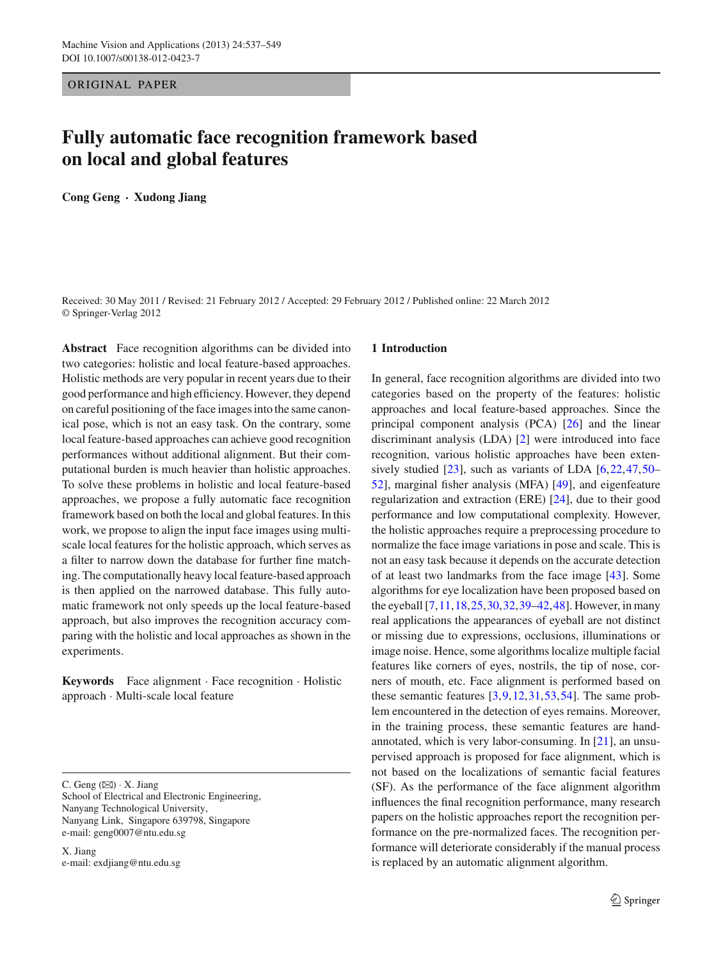ORIGINAL PAPER

# **Fully automatic face recognition framework based on local and global features**

**Cong Geng · Xudong Jiang**

Received: 30 May 2011 / Revised: 21 February 2012 / Accepted: 29 February 2012 / Published online: 22 March 2012 © Springer-Verlag 2012

**Abstract** Face recognition algorithms can be divided into two categories: holistic and local feature-based approaches. Holistic methods are very popular in recent years due to their good performance and high efficiency. However, they depend on careful positioning of the face images into the same canonical pose, which is not an easy task. On the contrary, some local feature-based approaches can achieve good recognition performances without additional alignment. But their computational burden is much heavier than holistic approaches. To solve these problems in holistic and local feature-based approaches, we propose a fully automatic face recognition framework based on both the local and global features. In this work, we propose to align the input face images using multiscale local features for the holistic approach, which serves as a filter to narrow down the database for further fine matching. The computationally heavy local feature-based approach is then applied on the narrowed database. This fully automatic framework not only speeds up the local feature-based approach, but also improves the recognition accuracy comparing with the holistic and local approaches as shown in the experiments.

**Keywords** Face alignment · Face recognition · Holistic approach · Multi-scale local feature

C. Geng  $(\boxtimes) \cdot X$ . Jiang School of Electrical and Electronic Engineering, Nanyang Technological University, Nanyang Link, Singapore 639798, Singapore e-mail: geng0007@ntu.edu.sg

X. Jiang e-mail: exdjiang@ntu.edu.sg

#### <span id="page-0-0"></span>**1 Introduction**

In general, face recognition algorithms are divided into two categories based on the property of the features: holistic approaches and local feature-based approaches. Since the principal component analysis (PCA) [\[26\]](#page-11-0) and the linear discriminant analysis (LDA) [\[2](#page-11-1)] were introduced into face recognition, various holistic approaches have been extensively studied [\[23\]](#page-11-2), such as variants of LDA [\[6,](#page-11-3)[22](#page-11-4)[,47](#page-12-0)[,50](#page-12-1)– [52](#page-12-2)], marginal fisher analysis (MFA) [\[49](#page-12-3)], and eigenfeature regularization and extraction (ERE) [\[24](#page-11-5)], due to their good performance and low computational complexity. However, the holistic approaches require a preprocessing procedure to normalize the face image variations in pose and scale. This is not an easy task because it depends on the accurate detection of at least two landmarks from the face image [\[43](#page-12-4)]. Some algorithms for eye localization have been proposed based on the eyeball [\[7](#page-11-6),[11,](#page-11-7)[18](#page-11-8)[,25](#page-11-9)[,30](#page-12-5),[32,](#page-12-6)[39](#page-12-7)[–42,](#page-12-8)[48\]](#page-12-9). However, in many real applications the appearances of eyeball are not distinct or missing due to expressions, occlusions, illuminations or image noise. Hence, some algorithms localize multiple facial features like corners of eyes, nostrils, the tip of nose, corners of mouth, etc. Face alignment is performed based on these semantic features [\[3](#page-11-10)[,9](#page-11-11)[,12](#page-11-12),[31,](#page-12-10)[53,](#page-12-11)[54\]](#page-12-12). The same problem encountered in the detection of eyes remains. Moreover, in the training process, these semantic features are handannotated, which is very labor-consuming. In [\[21](#page-11-13)], an unsupervised approach is proposed for face alignment, which is not based on the localizations of semantic facial features (SF). As the performance of the face alignment algorithm influences the final recognition performance, many research papers on the holistic approaches report the recognition performance on the pre-normalized faces. The recognition performance will deteriorate considerably if the manual process is replaced by an automatic alignment algorithm.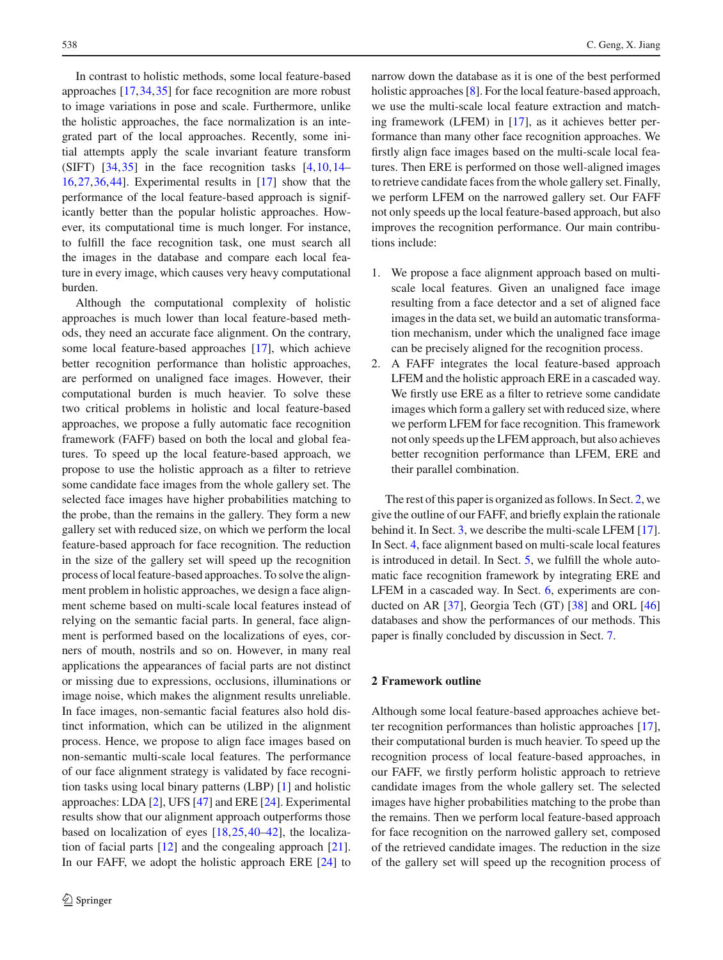In contrast to holistic methods, some local feature-based approaches [\[17](#page-11-14)[,34](#page-12-13)[,35](#page-12-14)] for face recognition are more robust to image variations in pose and scale. Furthermore, unlike the holistic approaches, the face normalization is an integrated part of the local approaches. Recently, some initial attempts apply the scale invariant feature transform (SIFT)  $[34,35]$  $[34,35]$  $[34,35]$  in the face recognition tasks  $[4,10,14 [4,10,14 [4,10,14 [4,10,14-$ [16](#page-11-18)[,27](#page-11-19)[,36](#page-12-15),[44\]](#page-12-16). Experimental results in [\[17\]](#page-11-14) show that the performance of the local feature-based approach is significantly better than the popular holistic approaches. However, its computational time is much longer. For instance, to fulfill the face recognition task, one must search all the images in the database and compare each local feature in every image, which causes very heavy computational burden.

Although the computational complexity of holistic approaches is much lower than local feature-based methods, they need an accurate face alignment. On the contrary, some local feature-based approaches [\[17](#page-11-14)], which achieve better recognition performance than holistic approaches, are performed on unaligned face images. However, their computational burden is much heavier. To solve these two critical problems in holistic and local feature-based approaches, we propose a fully automatic face recognition framework (FAFF) based on both the local and global features. To speed up the local feature-based approach, we propose to use the holistic approach as a filter to retrieve some candidate face images from the whole gallery set. The selected face images have higher probabilities matching to the probe, than the remains in the gallery. They form a new gallery set with reduced size, on which we perform the local feature-based approach for face recognition. The reduction in the size of the gallery set will speed up the recognition process of local feature-based approaches. To solve the alignment problem in holistic approaches, we design a face alignment scheme based on multi-scale local features instead of relying on the semantic facial parts. In general, face alignment is performed based on the localizations of eyes, corners of mouth, nostrils and so on. However, in many real applications the appearances of facial parts are not distinct or missing due to expressions, occlusions, illuminations or image noise, which makes the alignment results unreliable. In face images, non-semantic facial features also hold distinct information, which can be utilized in the alignment process. Hence, we propose to align face images based on non-semantic multi-scale local features. The performance of our face alignment strategy is validated by face recognition tasks using local binary patterns (LBP) [\[1\]](#page-11-20) and holistic approaches: LDA [\[2\]](#page-11-1), UFS [\[47](#page-12-0)] and ERE [\[24\]](#page-11-5). Experimental results show that our alignment approach outperforms those based on localization of eyes [\[18](#page-11-8)[,25](#page-11-9)[,40](#page-12-17)[–42](#page-12-8)], the localization of facial parts [\[12](#page-11-12)] and the congealing approach [\[21](#page-11-13)]. In our FAFF, we adopt the holistic approach ERE [\[24](#page-11-5)] to narrow down the database as it is one of the best performed holistic approaches [\[8](#page-11-21)]. For the local feature-based approach, we use the multi-scale local feature extraction and matching framework (LFEM) in [\[17](#page-11-14)], as it achieves better performance than many other face recognition approaches. We firstly align face images based on the multi-scale local features. Then ERE is performed on those well-aligned images to retrieve candidate faces from the whole gallery set. Finally, we perform LFEM on the narrowed gallery set. Our FAFF not only speeds up the local feature-based approach, but also improves the recognition performance. Our main contributions include:

- 1. We propose a face alignment approach based on multiscale local features. Given an unaligned face image resulting from a face detector and a set of aligned face images in the data set, we build an automatic transformation mechanism, under which the unaligned face image can be precisely aligned for the recognition process.
- 2. A FAFF integrates the local feature-based approach LFEM and the holistic approach ERE in a cascaded way. We firstly use ERE as a filter to retrieve some candidate images which form a gallery set with reduced size, where we perform LFEM for face recognition. This framework not only speeds up the LFEM approach, but also achieves better recognition performance than LFEM, ERE and their parallel combination.

The rest of this paper is organized as follows. In Sect. [2,](#page-1-0) we give the outline of our FAFF, and briefly explain the rationale behind it. In Sect. [3,](#page-2-0) we describe the multi-scale LFEM [\[17](#page-11-14)]. In Sect. [4,](#page-4-0) face alignment based on multi-scale local features is introduced in detail. In Sect. [5,](#page-6-0) we fulfill the whole automatic face recognition framework by integrating ERE and LFEM in a cascaded way. In Sect. [6,](#page-8-0) experiments are conducted on AR [\[37\]](#page-12-18), Georgia Tech (GT) [\[38](#page-12-19)] and ORL [\[46\]](#page-12-20) databases and show the performances of our methods. This paper is finally concluded by discussion in Sect. [7.](#page-10-0)

## <span id="page-1-0"></span>**2 Framework outline**

Although some local feature-based approaches achieve better recognition performances than holistic approaches [\[17](#page-11-14)], their computational burden is much heavier. To speed up the recognition process of local feature-based approaches, in our FAFF, we firstly perform holistic approach to retrieve candidate images from the whole gallery set. The selected images have higher probabilities matching to the probe than the remains. Then we perform local feature-based approach for face recognition on the narrowed gallery set, composed of the retrieved candidate images. The reduction in the size of the gallery set will speed up the recognition process of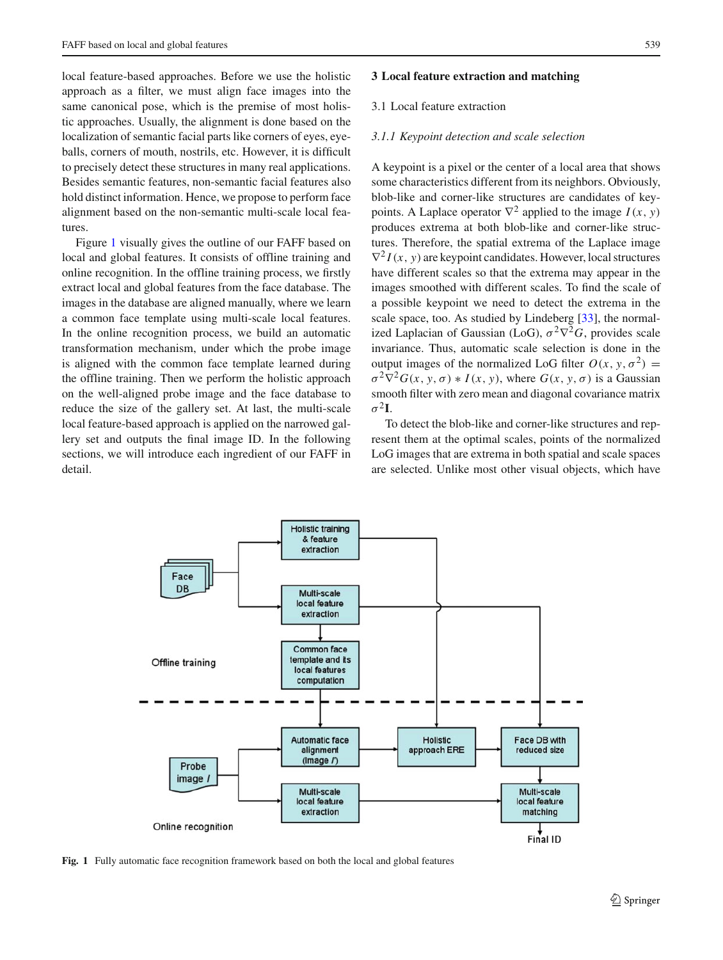local feature-based approaches. Before we use the holistic approach as a filter, we must align face images into the same canonical pose, which is the premise of most holistic approaches. Usually, the alignment is done based on the localization of semantic facial parts like corners of eyes, eyeballs, corners of mouth, nostrils, etc. However, it is difficult to precisely detect these structures in many real applications. Besides semantic features, non-semantic facial features also hold distinct information. Hence, we propose to perform face alignment based on the non-semantic multi-scale local features.

Figure [1](#page-2-1) visually gives the outline of our FAFF based on local and global features. It consists of offline training and online recognition. In the offline training process, we firstly extract local and global features from the face database. The images in the database are aligned manually, where we learn a common face template using multi-scale local features. In the online recognition process, we build an automatic transformation mechanism, under which the probe image is aligned with the common face template learned during the offline training. Then we perform the holistic approach on the well-aligned probe image and the face database to reduce the size of the gallery set. At last, the multi-scale local feature-based approach is applied on the narrowed gallery set and outputs the final image ID. In the following sections, we will introduce each ingredient of our FAFF in detail.

#### <span id="page-2-0"></span>**3 Local feature extraction and matching**

#### 3.1 Local feature extraction

## *3.1.1 Keypoint detection and scale selection*

A keypoint is a pixel or the center of a local area that shows some characteristics different from its neighbors. Obviously, blob-like and corner-like structures are candidates of keypoints. A Laplace operator  $\nabla^2$  applied to the image  $I(x, y)$ produces extrema at both blob-like and corner-like structures. Therefore, the spatial extrema of the Laplace image  $\nabla^2 I(x, y)$  are keypoint candidates. However, local structures have different scales so that the extrema may appear in the images smoothed with different scales. To find the scale of a possible keypoint we need to detect the extrema in the scale space, too. As studied by Lindeberg [\[33](#page-12-21)], the normalized Laplacian of Gaussian (LoG),  $\sigma^2 \nabla^2 G$ , provides scale invariance. Thus, automatic scale selection is done in the output images of the normalized LoG filter  $O(x, y, \sigma^2)$  =  $\sigma^2 \nabla^2 G(x, y, \sigma) * I(x, y)$ , where  $G(x, y, \sigma)$  is a Gaussian smooth filter with zero mean and diagonal covariance matrix  $\sigma^2$ **I**.

To detect the blob-like and corner-like structures and represent them at the optimal scales, points of the normalized LoG images that are extrema in both spatial and scale spaces are selected. Unlike most other visual objects, which have



<span id="page-2-1"></span>**Fig. 1** Fully automatic face recognition framework based on both the local and global features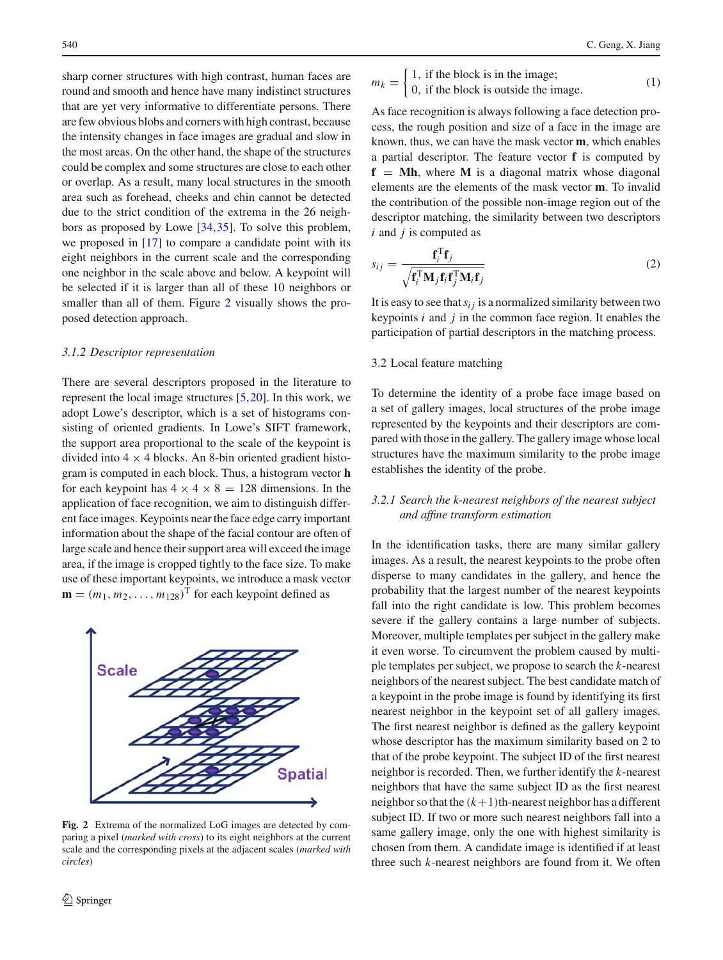sharp corner structures with high contrast, human faces are round and smooth and hence have many indistinct structures that are yet very informative to differentiate persons. There are few obvious blobs and corners with high contrast, because the intensity changes in face images are gradual and slow in the most areas. On the other hand, the shape of the structures could be complex and some structures are close to each other or overlap. As a result, many local structures in the smooth area such as forehead, cheeks and chin cannot be detected due to the strict condition of the extrema in the 26 neighbors as proposed by Lowe [\[34](#page-12-13),[35\]](#page-12-14). To solve this problem, we proposed in [\[17](#page-11-14)] to compare a candidate point with its eight neighbors in the current scale and the corresponding one neighbor in the scale above and below. A keypoint will be selected if it is larger than all of these 10 neighbors or smaller than all of them. Figure [2](#page-3-0) visually shows the proposed detection approach.

#### *3.1.2 Descriptor representation*

There are several descriptors proposed in the literature to represent the local image structures [\[5](#page-11-22)[,20](#page-11-23)]. In this work, we adopt Lowe's descriptor, which is a set of histograms consisting of oriented gradients. In Lowe's SIFT framework, the support area proportional to the scale of the keypoint is divided into  $4 \times 4$  blocks. An 8-bin oriented gradient histogram is computed in each block. Thus, a histogram vector **h** for each keypoint has  $4 \times 4 \times 8 = 128$  dimensions. In the application of face recognition, we aim to distinguish different face images. Keypoints near the face edge carry important information about the shape of the facial contour are often of large scale and hence their support area will exceed the image area, if the image is cropped tightly to the face size. To make use of these important keypoints, we introduce a mask vector  $\mathbf{m} = (m_1, m_2, \dots, m_{128})^T$  for each keypoint defined as



<span id="page-3-0"></span>**Fig. 2** Extrema of the normalized LoG images are detected by comparing a pixel (*marked with cross*) to its eight neighbors at the current scale and the corresponding pixels at the adjacent scales (*marked with circles*)

$$
m_k = \begin{cases} 1, & \text{if the block is in the image;} \\ 0, & \text{if the block is outside the image.} \end{cases}
$$
 (1)

As face recognition is always following a face detection process, the rough position and size of a face in the image are known, thus, we can have the mask vector **m**, which enables a partial descriptor. The feature vector **f** is computed by  $f = Mh$ , where M is a diagonal matrix whose diagonal elements are the elements of the mask vector **m**. To invalid the contribution of the possible non-image region out of the descriptor matching, the similarity between two descriptors *i* and *j* is computed as

<span id="page-3-1"></span>
$$
s_{ij} = \frac{\mathbf{f}_i^{\mathrm{T}} \mathbf{f}_j}{\sqrt{\mathbf{f}_i^{\mathrm{T}} \mathbf{M}_j \mathbf{f}_i \mathbf{f}_j^{\mathrm{T}} \mathbf{M}_i \mathbf{f}_j}}
$$
(2)

It is easy to see that  $s_{ij}$  is a normalized similarity between two keypoints *i* and *j* in the common face region. It enables the participation of partial descriptors in the matching process.

#### 3.2 Local feature matching

To determine the identity of a probe face image based on a set of gallery images, local structures of the probe image represented by the keypoints and their descriptors are compared with those in the gallery. The gallery image whose local structures have the maximum similarity to the probe image establishes the identity of the probe.

## *3.2.1 Search the k-nearest neighbors of the nearest subject and affine transform estimation*

In the identification tasks, there are many similar gallery images. As a result, the nearest keypoints to the probe often disperse to many candidates in the gallery, and hence the probability that the largest number of the nearest keypoints fall into the right candidate is low. This problem becomes severe if the gallery contains a large number of subjects. Moreover, multiple templates per subject in the gallery make it even worse. To circumvent the problem caused by multiple templates per subject, we propose to search the *k*-nearest neighbors of the nearest subject. The best candidate match of a keypoint in the probe image is found by identifying its first nearest neighbor in the keypoint set of all gallery images. The first nearest neighbor is defined as the gallery keypoint whose descriptor has the maximum similarity based on [2](#page-3-1) to that of the probe keypoint. The subject ID of the first nearest neighbor is recorded. Then, we further identify the *k*-nearest neighbors that have the same subject ID as the first nearest neighbor so that the  $(k+1)$ th-nearest neighbor has a different subject ID. If two or more such nearest neighbors fall into a same gallery image, only the one with highest similarity is chosen from them. A candidate image is identified if at least three such *k*-nearest neighbors are found from it. We often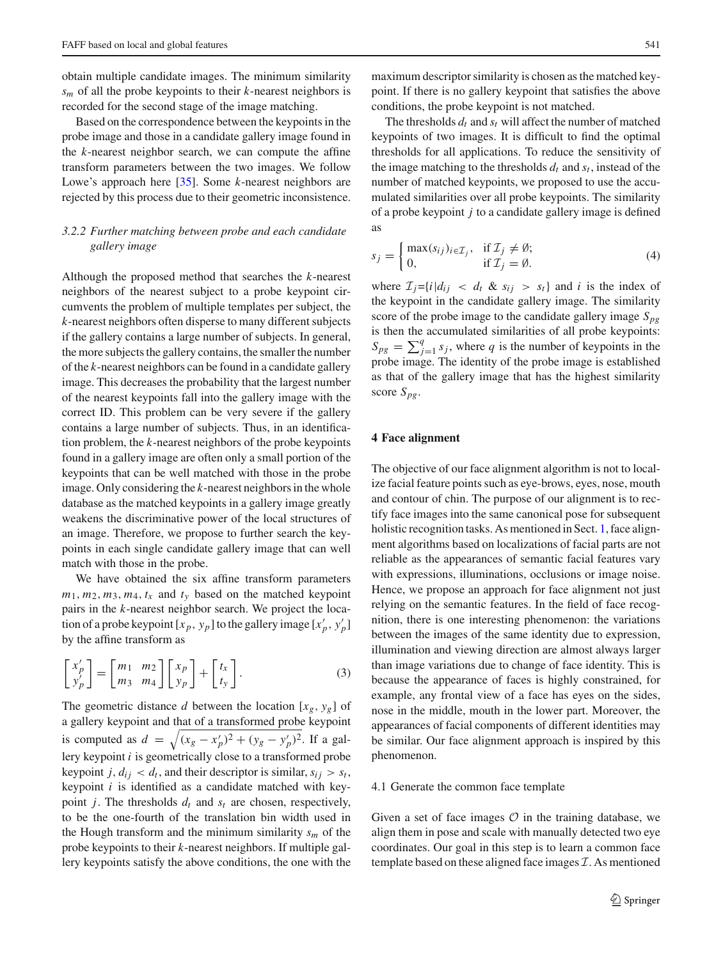obtain multiple candidate images. The minimum similarity *sm* of all the probe keypoints to their *k*-nearest neighbors is recorded for the second stage of the image matching.

Based on the correspondence between the keypoints in the probe image and those in a candidate gallery image found in the *k*-nearest neighbor search, we can compute the affine transform parameters between the two images. We follow Lowe's approach here [\[35](#page-12-14)]. Some *k*-nearest neighbors are rejected by this process due to their geometric inconsistence.

## *3.2.2 Further matching between probe and each candidate gallery image*

Although the proposed method that searches the *k*-nearest neighbors of the nearest subject to a probe keypoint circumvents the problem of multiple templates per subject, the *k*-nearest neighbors often disperse to many different subjects if the gallery contains a large number of subjects. In general, the more subjects the gallery contains, the smaller the number of the *k*-nearest neighbors can be found in a candidate gallery image. This decreases the probability that the largest number of the nearest keypoints fall into the gallery image with the correct ID. This problem can be very severe if the gallery contains a large number of subjects. Thus, in an identification problem, the *k*-nearest neighbors of the probe keypoints found in a gallery image are often only a small portion of the keypoints that can be well matched with those in the probe image. Only considering the *k*-nearest neighbors in the whole database as the matched keypoints in a gallery image greatly weakens the discriminative power of the local structures of an image. Therefore, we propose to further search the keypoints in each single candidate gallery image that can well match with those in the probe.

We have obtained the six affine transform parameters  $m_1, m_2, m_3, m_4, t_x$  and  $t_y$  based on the matched keypoint pairs in the *k*-nearest neighbor search. We project the location of a probe keypoint  $[x_p, y_p]$  to the gallery image  $[x'_p, y'_p]$ by the affine transform as

$$
\begin{bmatrix} x'_p \\ y'_p \end{bmatrix} = \begin{bmatrix} m_1 & m_2 \\ m_3 & m_4 \end{bmatrix} \begin{bmatrix} x_p \\ y_p \end{bmatrix} + \begin{bmatrix} t_x \\ t_y \end{bmatrix}.
$$
 (3)

The geometric distance  $d$  between the location  $[x_g, y_g]$  of a gallery keypoint and that of a transformed probe keypoint is computed as  $d = \sqrt{(x_g - x'_p)^2 + (y_g - y'_p)^2}$ . If a gallery keypoint *i* is geometrically close to a transformed probe keypoint *j*,  $d_{ij} < d_t$ , and their descriptor is similar,  $s_{ij} > s_t$ , keypoint *i* is identified as a candidate matched with keypoint *j*. The thresholds  $d_t$  and  $s_t$  are chosen, respectively, to be the one-fourth of the translation bin width used in the Hough transform and the minimum similarity  $s_m$  of the probe keypoints to their *k*-nearest neighbors. If multiple gallery keypoints satisfy the above conditions, the one with the

maximum descriptor similarity is chosen as the matched keypoint. If there is no gallery keypoint that satisfies the above conditions, the probe keypoint is not matched.

The thresholds  $d_t$  and  $s_t$  will affect the number of matched keypoints of two images. It is difficult to find the optimal thresholds for all applications. To reduce the sensitivity of the image matching to the thresholds  $d_t$  and  $s_t$ , instead of the number of matched keypoints, we proposed to use the accumulated similarities over all probe keypoints. The similarity of a probe keypoint *j* to a candidate gallery image is defined as

$$
s_j = \begin{cases} \max(s_{ij})_{i \in \mathcal{I}_j}, & \text{if } \mathcal{I}_j \neq \emptyset; \\ 0, & \text{if } \mathcal{I}_j = \emptyset. \end{cases}
$$
 (4)

where  $\mathcal{I}_i = \{i | d_{ij} < d_t \& s_{ij} > s_t\}$  and *i* is the index of the keypoint in the candidate gallery image. The similarity score of the probe image to the candidate gallery image  $S_{pg}$ is then the accumulated similarities of all probe keypoints:  $S_{pg} = \sum_{j=1}^{q} s_j$ , where *q* is the number of keypoints in the probe image. The identity of the probe image is established as that of the gallery image that has the highest similarity score *Spg*.

## <span id="page-4-0"></span>**4 Face alignment**

The objective of our face alignment algorithm is not to localize facial feature points such as eye-brows, eyes, nose, mouth and contour of chin. The purpose of our alignment is to rectify face images into the same canonical pose for subsequent holistic recognition tasks. As mentioned in Sect. [1,](#page-0-0) face alignment algorithms based on localizations of facial parts are not reliable as the appearances of semantic facial features vary with expressions, illuminations, occlusions or image noise. Hence, we propose an approach for face alignment not just relying on the semantic features. In the field of face recognition, there is one interesting phenomenon: the variations between the images of the same identity due to expression, illumination and viewing direction are almost always larger than image variations due to change of face identity. This is because the appearance of faces is highly constrained, for example, any frontal view of a face has eyes on the sides, nose in the middle, mouth in the lower part. Moreover, the appearances of facial components of different identities may be similar. Our face alignment approach is inspired by this phenomenon.

#### 4.1 Generate the common face template

Given a set of face images  $\mathcal O$  in the training database, we align them in pose and scale with manually detected two eye coordinates. Our goal in this step is to learn a common face template based on these aligned face images *I*. As mentioned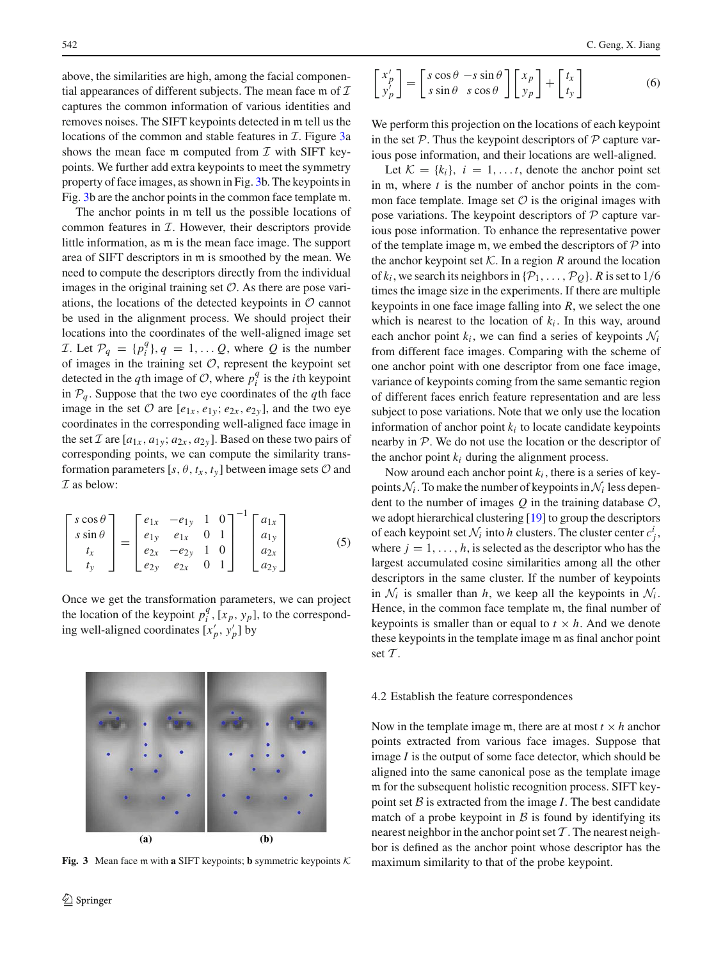above, the similarities are high, among the facial componential appearances of different subjects. The mean face m of *I* captures the common information of various identities and removes noises. The SIFT keypoints detected in m tell us the locations of the common and stable features in *I*. Figure [3a](#page-5-0) shows the mean face  $m$  computed from  $I$  with SIFT keypoints. We further add extra keypoints to meet the symmetry property of face images, as shown in Fig. [3b](#page-5-0). The keypoints in Fig. [3b](#page-5-0) are the anchor points in the common face template m.

The anchor points in m tell us the possible locations of common features in *I*. However, their descriptors provide little information, as m is the mean face image. The support area of SIFT descriptors in m is smoothed by the mean. We need to compute the descriptors directly from the individual images in the original training set  $\mathcal O$ . As there are pose variations, the locations of the detected keypoints in *O* cannot be used in the alignment process. We should project their locations into the coordinates of the well-aligned image set *I*. Let  $P_q = \{p_i^q\}, q = 1, \ldots Q$ , where *Q* is the number of images in the training set *O*, represent the keypoint set detected in the *q*th image of *O*, where  $p_i^q$  is the *i*th keypoint in  $P_q$ . Suppose that the two eye coordinates of the *q*th face image in the set  $\mathcal{O}$  are  $[e_{1x}, e_{1y}; e_{2x}, e_{2y}]$ , and the two eye coordinates in the corresponding well-aligned face image in the set *I* are  $[a_{1x}, a_{1y}; a_{2x}, a_{2y}]$ . Based on these two pairs of corresponding points, we can compute the similarity transformation parameters  $[s, \theta, t_x, t_y]$  between image sets  $\mathcal O$  and *I* as below:

$$
\begin{bmatrix} s\cos\theta \\ s\sin\theta \\ t_x \\ t_y \end{bmatrix} = \begin{bmatrix} e_{1x} & -e_{1y} & 1 & 0 \\ e_{1y} & e_{1x} & 0 & 1 \\ e_{2x} & -e_{2y} & 1 & 0 \\ e_{2y} & e_{2x} & 0 & 1 \end{bmatrix}^{-1} \begin{bmatrix} a_{1x} \\ a_{1y} \\ a_{2x} \\ a_{2y} \end{bmatrix}
$$
 (5)

Once we get the transformation parameters, we can project the location of the keypoint  $p_i^q$ ,  $[x_p, y_p]$ , to the corresponding well-aligned coordinates  $[x'_p, y'_p]$  by



<span id="page-5-0"></span>**Fig. 3** Mean face m with **a** SIFT keypoints; **b** symmetric keypoints  $K$ 

$$
\begin{bmatrix} x'_p \\ y'_p \end{bmatrix} = \begin{bmatrix} s\cos\theta & -s\sin\theta \\ s\sin\theta & s\cos\theta \end{bmatrix} \begin{bmatrix} x_p \\ y_p \end{bmatrix} + \begin{bmatrix} t_x \\ t_y \end{bmatrix}
$$
 (6)

We perform this projection on the locations of each keypoint in the set  $P$ . Thus the keypoint descriptors of  $P$  capture various pose information, and their locations are well-aligned.

Let  $K = \{k_i\}$ ,  $i = 1, \ldots t$ , denote the anchor point set in m, where *t* is the number of anchor points in the common face template. Image set  $\mathcal O$  is the original images with pose variations. The keypoint descriptors of *P* capture various pose information. To enhance the representative power of the template image m, we embed the descriptors of *P* into the anchor keypoint set  $K$ . In a region  $R$  around the location of  $k_i$ , we search its neighbors in  $\{\mathcal{P}_1,\ldots,\mathcal{P}_O\}$ . *R* is set to 1/6 times the image size in the experiments. If there are multiple keypoints in one face image falling into *R*, we select the one which is nearest to the location of  $k_i$ . In this way, around each anchor point  $k_i$ , we can find a series of keypoints  $\mathcal{N}_i$ from different face images. Comparing with the scheme of one anchor point with one descriptor from one face image, variance of keypoints coming from the same semantic region of different faces enrich feature representation and are less subject to pose variations. Note that we only use the location information of anchor point  $k_i$  to locate candidate keypoints nearby in *P*. We do not use the location or the descriptor of the anchor point  $k_i$  during the alignment process.

Now around each anchor point  $k_i$ , there is a series of keypoints  $\mathcal{N}_i$ . To make the number of keypoints in  $\mathcal{N}_i$  less dependent to the number of images *Q* in the training database *O*, we adopt hierarchical clustering [\[19\]](#page-11-24) to group the descriptors of each keypoint set  $N_i$  into *h* clusters. The cluster center  $c_j^i$ , where  $j = 1, \ldots, h$ , is selected as the descriptor who has the largest accumulated cosine similarities among all the other descriptors in the same cluster. If the number of keypoints in  $\mathcal{N}_i$  is smaller than *h*, we keep all the keypoints in  $\mathcal{N}_i$ . Hence, in the common face template m, the final number of keypoints is smaller than or equal to  $t \times h$ . And we denote these keypoints in the template image m as final anchor point set *T* .

#### 4.2 Establish the feature correspondences

Now in the template image m, there are at most  $t \times h$  anchor points extracted from various face images. Suppose that image *I* is the output of some face detector, which should be aligned into the same canonical pose as the template image m for the subsequent holistic recognition process. SIFT keypoint set  $\beta$  is extracted from the image *I*. The best candidate match of a probe keypoint in  $\beta$  is found by identifying its nearest neighbor in the anchor point set  $\mathcal T$ . The nearest neighbor is defined as the anchor point whose descriptor has the maximum similarity to that of the probe keypoint.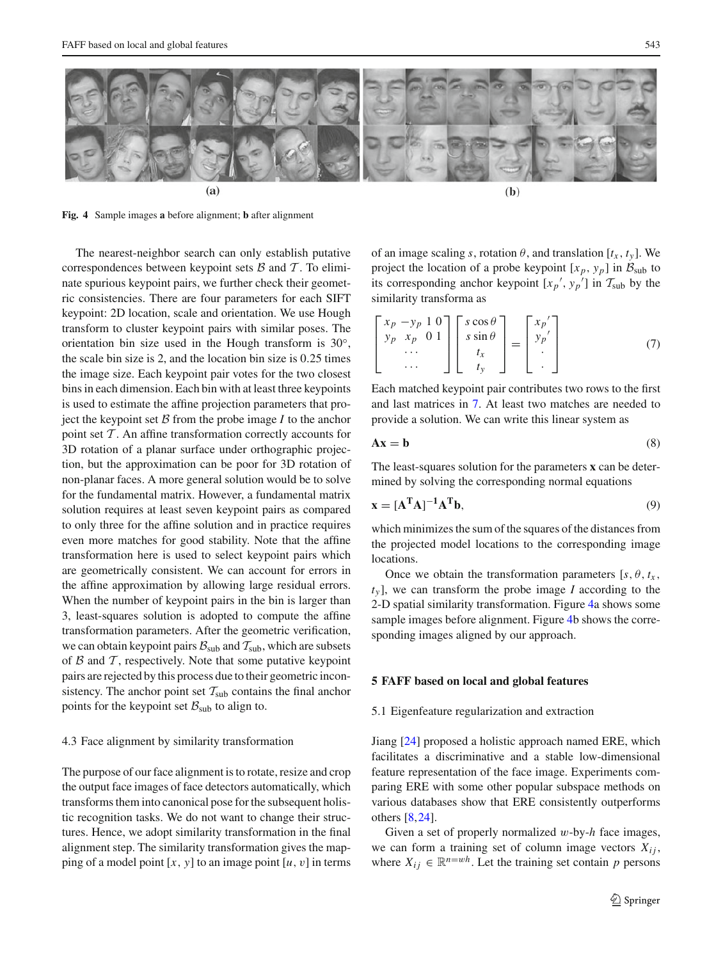<span id="page-6-2"></span>**Fig. 4** Sample images **a** before alignment; **b** after alignment

The nearest-neighbor search can only establish putative correspondences between keypoint sets *B* and *T* . To eliminate spurious keypoint pairs, we further check their geometric consistencies. There are four parameters for each SIFT keypoint: 2D location, scale and orientation. We use Hough transform to cluster keypoint pairs with similar poses. The orientation bin size used in the Hough transform is 30◦, the scale bin size is 2, and the location bin size is 0.25 times the image size. Each keypoint pair votes for the two closest bins in each dimension. Each bin with at least three keypoints is used to estimate the affine projection parameters that project the keypoint set  $\beta$  from the probe image *I* to the anchor point set *T* . An affine transformation correctly accounts for 3D rotation of a planar surface under orthographic projection, but the approximation can be poor for 3D rotation of non-planar faces. A more general solution would be to solve for the fundamental matrix. However, a fundamental matrix solution requires at least seven keypoint pairs as compared to only three for the affine solution and in practice requires even more matches for good stability. Note that the affine transformation here is used to select keypoint pairs which are geometrically consistent. We can account for errors in the affine approximation by allowing large residual errors. When the number of keypoint pairs in the bin is larger than 3, least-squares solution is adopted to compute the affine transformation parameters. After the geometric verification, we can obtain keypoint pairs  $B_{sub}$  and  $T_{sub}$ , which are subsets of  $\beta$  and  $\mathcal T$ , respectively. Note that some putative keypoint pairs are rejected by this process due to their geometric inconsistency. The anchor point set  $T_{sub}$  contains the final anchor points for the keypoint set  $B_{sub}$  to align to.

## 4.3 Face alignment by similarity transformation

The purpose of our face alignment is to rotate, resize and crop the output face images of face detectors automatically, which transforms them into canonical pose for the subsequent holistic recognition tasks. We do not want to change their structures. Hence, we adopt similarity transformation in the final alignment step. The similarity transformation gives the mapping of a model point  $[x, y]$  to an image point  $[u, v]$  in terms of an image scaling *s*, rotation  $\theta$ , and translation  $[t_x, t_y]$ . We project the location of a probe keypoint  $[x_p, y_p]$  in  $B_{sub}$  to its corresponding anchor keypoint  $[x_p', y_p']$  in  $\mathcal{T}_{sub}$  by the similarity transforma as

<span id="page-6-1"></span>
$$
\begin{bmatrix} x_p - y_p & 1 & 0 \\ y_p & x_p & 0 & 1 \\ \cdots & \cdots & \cdots \end{bmatrix} \begin{bmatrix} s\cos\theta \\ s\sin\theta \\ t_x \\ t_y \end{bmatrix} = \begin{bmatrix} x_p' \\ y_p' \\ \vdots \\ t_y \end{bmatrix}
$$
 (7)

Each matched keypoint pair contributes two rows to the first and last matrices in [7.](#page-6-1) At least two matches are needed to provide a solution. We can write this linear system as

$$
Ax = b \tag{8}
$$

The least-squares solution for the parameters **x** can be determined by solving the corresponding normal equations

$$
\mathbf{x} = [\mathbf{A}^{\mathrm{T}} \mathbf{A}]^{-1} \mathbf{A}^{\mathrm{T}} \mathbf{b},\tag{9}
$$

which minimizes the sum of the squares of the distances from the projected model locations to the corresponding image locations.

Once we obtain the transformation parameters  $[s, \theta, t_x,$  $t<sub>y</sub>$ , we can transform the probe image *I* according to the 2-D spatial similarity transformation. Figure [4a](#page-6-2) shows some sample images before alignment. Figure [4b](#page-6-2) shows the corresponding images aligned by our approach.

## <span id="page-6-0"></span>**5 FAFF based on local and global features**

#### 5.1 Eigenfeature regularization and extraction

Jiang [\[24](#page-11-5)] proposed a holistic approach named ERE, which facilitates a discriminative and a stable low-dimensional feature representation of the face image. Experiments comparing ERE with some other popular subspace methods on various databases show that ERE consistently outperforms others [\[8](#page-11-21),[24\]](#page-11-5).

Given a set of properly normalized w-by-*h* face images, we can form a training set of column image vectors  $X_{ij}$ , where  $X_{ij} \in \mathbb{R}^{n=wh}$ . Let the training set contain *p* persons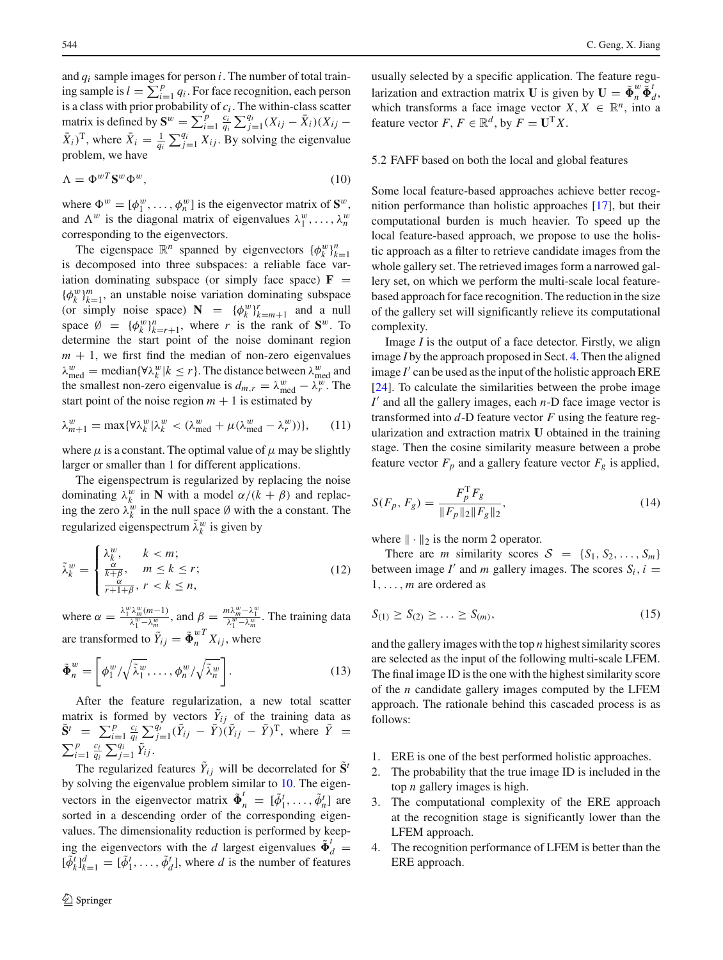and *qi* sample images for person *i*. The number of total training sample is  $l = \sum_{i=1}^{p} q_i$ . For face recognition, each person is a class with prior probability of  $c_i$ . The within-class scatter matrix is defined by  $\mathbf{S}^w = \sum_{i=1}^p \frac{c_i}{q_i}$  $\frac{c_i}{q_i} \sum_{j=1}^{q_i} (X_{ij} - \bar{X}_i)(X_{ij} (\bar{X}_i)^T$ , where  $\bar{X}_i = \frac{1}{q_i} \sum_{j=1}^{q_i} X_{ij}$ . By solving the eigenvalue problem, we have

<span id="page-7-0"></span>
$$
\Lambda = \Phi^{w} S^w \Phi^w, \tag{10}
$$

where  $\Phi^w = [\phi_1^w, \dots, \phi_n^w]$  is the eigenvector matrix of  $\mathbf{S}^w$ , and  $\Lambda^w$  is the diagonal matrix of eigenvalues  $\lambda_1^w, \ldots, \lambda_n^w$ corresponding to the eigenvectors.

The eigenspace  $\mathbb{R}^n$  spanned by eigenvectors  $\{\phi_k^w\}_{k=1}^n$ is decomposed into three subspaces: a reliable face variation dominating subspace (or simply face space)  $\mathbf{F}$  =  ${\varphi_k^w}\}_{k=1}^m$ , an unstable noise variation dominating subspace (or simply noise space) **N** =  $\{\phi_k^w\}_{k=m+1}^r$  and a null space  $\emptyset = {\phi_k^w}_{k=r+1}^n$ , where *r* is the rank of  $S^w$ . To determine the start point of the noise dominant region  $m + 1$ , we first find the median of non-zero eigenvalues  $\lambda_{\text{med}}^w = \text{median}\{\forall \lambda_k^w | k \leq r\}$ . The distance between  $\lambda_{\text{med}}^w$  and the smallest non-zero eigenvalue is  $d_{m,r} = \lambda_{\text{med}}^w - \lambda_r^w$ . The start point of the noise region  $m + 1$  is estimated by

$$
\lambda_{m+1}^w = \max \{ \forall \lambda_k^w | \lambda_k^w < (\lambda_{\text{med}}^w + \mu (\lambda_{\text{med}}^w - \lambda_r^w)) \},\tag{11}
$$

where  $\mu$  is a constant. The optimal value of  $\mu$  may be slightly larger or smaller than 1 for different applications.

The eigenspectrum is regularized by replacing the noise dominating  $\lambda_k^w$  in **N** with a model  $\alpha/(k + \beta)$  and replacing the zero  $\lambda_k^w$  in the null space Ø with the a constant. The regularized eigenspectrum  $\tilde{\lambda}_k^w$  is given by

$$
\tilde{\lambda}_k^w = \begin{cases}\n\frac{\lambda_k^w}{k + \beta}, & k < m; \\
\frac{\alpha}{k + \beta}, & m \le k \le r; \\
\frac{\alpha}{r + 1 + \beta}, & r < k \le n,\n\end{cases}
$$
\n(12)

where  $\alpha = \frac{\lambda_1^w \lambda_m^w (m-1)}{\lambda_1^w - \lambda_m^w}$ , and  $\beta = \frac{m \lambda_m^w - \lambda_1^w}{\lambda_1^w - \lambda_m^w}$ . The training data are transformed to  $\tilde{Y}_{ij} = \tilde{\boldsymbol{\Phi}}_n^{wT} X_{ij}$ , where

$$
\tilde{\Phi}_n^w = \left[ \phi_1^w / \sqrt{\tilde{\lambda}_1^w}, \dots, \phi_n^w / \sqrt{\tilde{\lambda}_n^w} \right].
$$
\n(13)

After the feature regularization, a new total scatter matrix is formed by vectors  $\tilde{Y}_{ij}$  of the training data as  $\tilde{\mathbf{S}}^t = \sum_{i=1}^p \frac{c_i}{q_i}$  $\frac{c_i}{q_i} \sum_{j=1}^{q_i} (\tilde{Y}_{ij} - \bar{Y})(\tilde{Y}_{ij} - \bar{Y})^{\text{T}}$ , where  $\bar{Y} =$  $\sum_{i=1}^p \frac{c_i}{q_i}$  $\frac{c_i}{q_i} \sum_{j=1}^{q_i} \tilde{Y}_{ij}$ .

The regularized features  $\tilde{Y}_{ij}$  will be decorrelated for  $\tilde{S}^t$ by solving the eigenvalue problem similar to [10.](#page-7-0) The eigenvectors in the eigenvector matrix  $\tilde{\Phi}_n^t = [\tilde{\phi}_1^t, \dots, \tilde{\phi}_n^t]$  are sorted in a descending order of the corresponding eigenvalues. The dimensionality reduction is performed by keeping the eigenvectors with the *d* largest eigenvalues  $\tilde{\Phi}_d^t$  =  $[\tilde{\phi}_k^t]_{k=1}^d = [\tilde{\phi}_1^t, \ldots, \tilde{\phi}_d^t]$ , where *d* is the number of features

usually selected by a specific application. The feature regularization and extraction matrix **U** is given by  $\mathbf{U} = \tilde{\boldsymbol{\Phi}}_n^w \tilde{\tilde{\boldsymbol{\Phi}}}_d^t$ , which transforms a face image vector  $X, X \in \mathbb{R}^n$ , into a feature vector  $F, F \in \mathbb{R}^d$ , by  $F = U^T X$ .

## 5.2 FAFF based on both the local and global features

Some local feature-based approaches achieve better recognition performance than holistic approaches [\[17\]](#page-11-14), but their computational burden is much heavier. To speed up the local feature-based approach, we propose to use the holistic approach as a filter to retrieve candidate images from the whole gallery set. The retrieved images form a narrowed gallery set, on which we perform the multi-scale local featurebased approach for face recognition. The reduction in the size of the gallery set will significantly relieve its computational complexity.

Image *I* is the output of a face detector. Firstly, we align image *I* by the approach proposed in Sect. [4.](#page-4-0) Then the aligned image  $I'$  can be used as the input of the holistic approach ERE [\[24](#page-11-5)]. To calculate the similarities between the probe image *I*' and all the gallery images, each *n*-D face image vector is transformed into *d*-D feature vector *F* using the feature regularization and extraction matrix **U** obtained in the training stage. Then the cosine similarity measure between a probe feature vector  $F_p$  and a gallery feature vector  $F_g$  is applied,

$$
S(F_p, F_g) = \frac{F_p^{\mathrm{T}} F_g}{\|F_p\|_2 \|F_g\|_2},\tag{14}
$$

where  $\|\cdot\|_2$  is the norm 2 operator.

There are *m* similarity scores  $S = \{S_1, S_2, \ldots, S_m\}$ between image *I'* and *m* gallery images. The scores  $S_i$ ,  $i =$ 1,..., *m* are ordered as

$$
S_{(1)} \ge S_{(2)} \ge \ldots \ge S_{(m)},\tag{15}
$$

and the gallery images with the top *n* highest similarity scores are selected as the input of the following multi-scale LFEM. The final image ID is the one with the highest similarity score of the *n* candidate gallery images computed by the LFEM approach. The rationale behind this cascaded process is as follows:

- 1. ERE is one of the best performed holistic approaches.
- 2. The probability that the true image ID is included in the top *n* gallery images is high.
- 3. The computational complexity of the ERE approach at the recognition stage is significantly lower than the LFEM approach.
- 4. The recognition performance of LFEM is better than the ERE approach.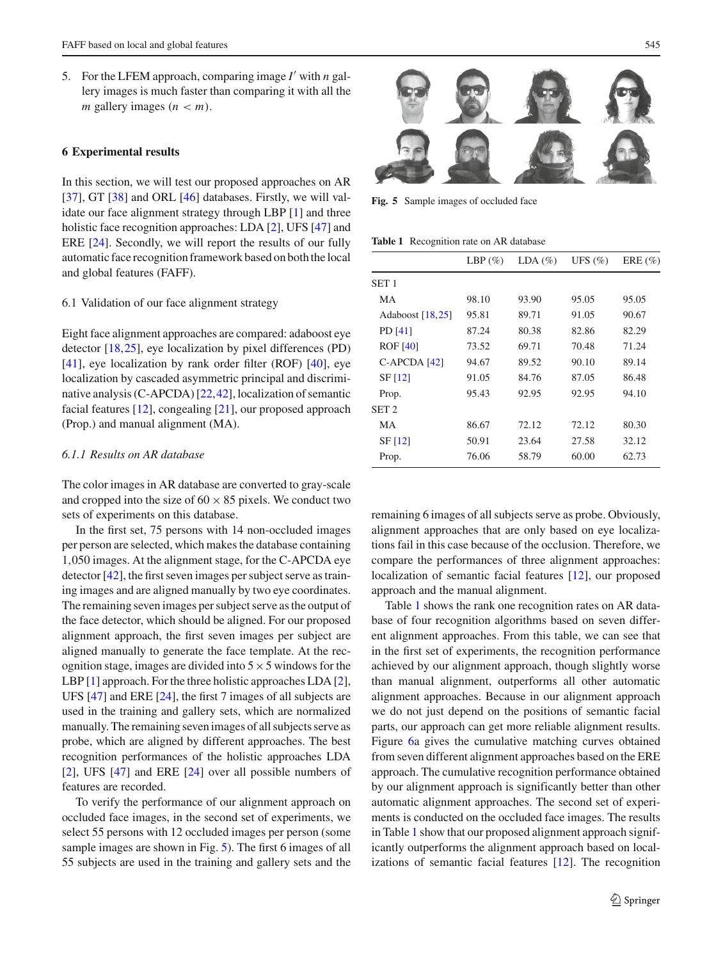5. For the LFEM approach, comparing image *I'* with *n* gallery images is much faster than comparing it with all the *m* gallery images  $(n < m)$ .

## <span id="page-8-0"></span>**6 Experimental results**

In this section, we will test our proposed approaches on AR [\[37](#page-12-18)], GT [\[38](#page-12-19)] and ORL [\[46](#page-12-20)] databases. Firstly, we will validate our face alignment strategy through LBP [\[1\]](#page-11-20) and three holistic face recognition approaches: LDA [\[2](#page-11-1)], UFS [\[47](#page-12-0)] and ERE [\[24](#page-11-5)]. Secondly, we will report the results of our fully automatic face recognition framework based on both the local and global features (FAFF).

## <span id="page-8-3"></span>6.1 Validation of our face alignment strategy

Eight face alignment approaches are compared: adaboost eye detector [\[18](#page-11-8),[25\]](#page-11-9), eye localization by pixel differences (PD) [\[41](#page-12-22)], eye localization by rank order filter (ROF) [\[40\]](#page-12-17), eye localization by cascaded asymmetric principal and discriminative analysis (C-APCDA) [\[22](#page-11-4)[,42](#page-12-8)], localization of semantic facial features [\[12\]](#page-11-12), congealing [\[21](#page-11-13)], our proposed approach (Prop.) and manual alignment (MA).

## *6.1.1 Results on AR database*

The color images in AR database are converted to gray-scale and cropped into the size of  $60 \times 85$  pixels. We conduct two sets of experiments on this database.

In the first set, 75 persons with 14 non-occluded images per person are selected, which makes the database containing 1,050 images. At the alignment stage, for the C-APCDA eye detector [\[42](#page-12-8)], the first seven images per subject serve as training images and are aligned manually by two eye coordinates. The remaining seven images per subject serve as the output of the face detector, which should be aligned. For our proposed alignment approach, the first seven images per subject are aligned manually to generate the face template. At the recognition stage, images are divided into  $5 \times 5$  windows for the LBP [\[1](#page-11-20)] approach. For the three holistic approaches LDA [\[2](#page-11-1)], UFS [\[47\]](#page-12-0) and ERE [\[24\]](#page-11-5), the first 7 images of all subjects are used in the training and gallery sets, which are normalized manually. The remaining seven images of all subjects serve as probe, which are aligned by different approaches. The best recognition performances of the holistic approaches LDA [\[2](#page-11-1)], UFS [\[47](#page-12-0)] and ERE [\[24\]](#page-11-5) over all possible numbers of features are recorded.

To verify the performance of our alignment approach on occluded face images, in the second set of experiments, we select 55 persons with 12 occluded images per person (some sample images are shown in Fig. [5\)](#page-8-1). The first 6 images of all 55 subjects are used in the training and gallery sets and the



<span id="page-8-1"></span>**Fig. 5** Sample images of occluded face

|  | <b>Table 1</b> Recognition rate on AR database |  |
|--|------------------------------------------------|--|
|--|------------------------------------------------|--|

<span id="page-8-2"></span>

|                  | LBP $(\%)$ | $LDA(\%)$ | UFS $(\% )$ | ERE $(\% )$ |
|------------------|------------|-----------|-------------|-------------|
| SET 1            |            |           |             |             |
| МA               | 98.10      | 93.90     | 95.05       | 95.05       |
| Adaboost [18,25] | 95.81      | 89.71     | 91.05       | 90.67       |
| PD [41]          | 87.24      | 80.38     | 82.86       | 82.29       |
| <b>ROF</b> [40]  | 73.52      | 69.71     | 70.48       | 71.24       |
| $C-APCDA$ [42]   | 94.67      | 89.52     | 90.10       | 89.14       |
| SF [12]          | 91.05      | 84.76     | 87.05       | 86.48       |
| Prop.            | 95.43      | 92.95     | 92.95       | 94.10       |
| SET <sub>2</sub> |            |           |             |             |
| МA               | 86.67      | 72.12     | 72.12       | 80.30       |
| SF [12]          | 50.91      | 23.64     | 27.58       | 32.12       |
| Prop.            | 76.06      | 58.79     | 60.00       | 62.73       |

remaining 6 images of all subjects serve as probe. Obviously, alignment approaches that are only based on eye localizations fail in this case because of the occlusion. Therefore, we compare the performances of three alignment approaches: localization of semantic facial features [\[12](#page-11-12)], our proposed approach and the manual alignment.

Table [1](#page-8-2) shows the rank one recognition rates on AR database of four recognition algorithms based on seven different alignment approaches. From this table, we can see that in the first set of experiments, the recognition performance achieved by our alignment approach, though slightly worse than manual alignment, outperforms all other automatic alignment approaches. Because in our alignment approach we do not just depend on the positions of semantic facial parts, our approach can get more reliable alignment results. Figure [6a](#page-9-0) gives the cumulative matching curves obtained from seven different alignment approaches based on the ERE approach. The cumulative recognition performance obtained by our alignment approach is significantly better than other automatic alignment approaches. The second set of experiments is conducted on the occluded face images. The results in Table [1](#page-8-2) show that our proposed alignment approach significantly outperforms the alignment approach based on localizations of semantic facial features [\[12](#page-11-12)]. The recognition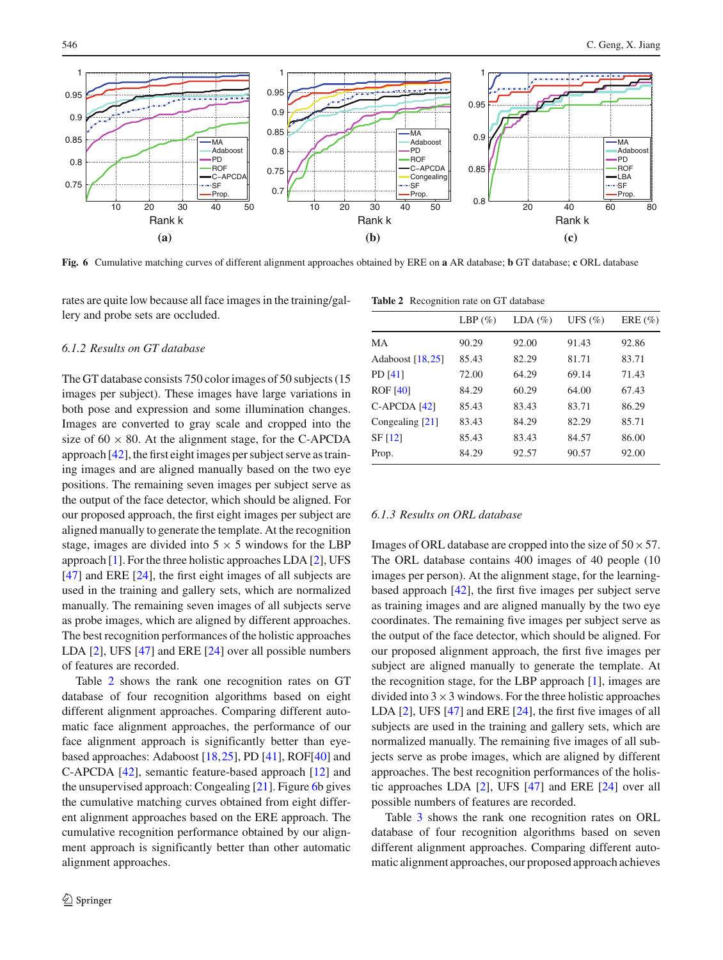

<span id="page-9-0"></span>**Fig. 6** Cumulative matching curves of different alignment approaches obtained by ERE on **a** AR database; **b** GT database; **c** ORL database

rates are quite low because all face images in the training/gallery and probe sets are occluded.

#### *6.1.2 Results on GT database*

The GT database consists 750 color images of 50 subjects (15 images per subject). These images have large variations in both pose and expression and some illumination changes. Images are converted to gray scale and cropped into the size of  $60 \times 80$ . At the alignment stage, for the C-APCDA approach [\[42](#page-12-8)], the first eight images per subject serve as training images and are aligned manually based on the two eye positions. The remaining seven images per subject serve as the output of the face detector, which should be aligned. For our proposed approach, the first eight images per subject are aligned manually to generate the template. At the recognition stage, images are divided into  $5 \times 5$  windows for the LBP approach [\[1\]](#page-11-20). For the three holistic approaches LDA [\[2](#page-11-1)], UFS [\[47](#page-12-0)] and ERE [\[24\]](#page-11-5), the first eight images of all subjects are used in the training and gallery sets, which are normalized manually. The remaining seven images of all subjects serve as probe images, which are aligned by different approaches. The best recognition performances of the holistic approaches LDA [\[2\]](#page-11-1), UFS [\[47](#page-12-0)] and ERE [\[24\]](#page-11-5) over all possible numbers of features are recorded.

Table [2](#page-9-1) shows the rank one recognition rates on GT database of four recognition algorithms based on eight different alignment approaches. Comparing different automatic face alignment approaches, the performance of our face alignment approach is significantly better than eyebased approaches: Adaboost [\[18](#page-11-8),[25\]](#page-11-9), PD [\[41\]](#page-12-22), ROF[\[40](#page-12-17)] and C-APCDA [\[42\]](#page-12-8), semantic feature-based approach [\[12](#page-11-12)] and the unsupervised approach: Congealing [\[21](#page-11-13)]. Figure [6b](#page-9-0) gives the cumulative matching curves obtained from eight different alignment approaches based on the ERE approach. The cumulative recognition performance obtained by our alignment approach is significantly better than other automatic alignment approaches.

**Table 2** Recognition rate on GT database

<span id="page-9-1"></span>

|                  | LBP $(\%)$ | $LDA(\%)$ | UFS $(\% )$ | $ERE (\%)$ |
|------------------|------------|-----------|-------------|------------|
| MA               | 90.29      | 92.00     | 91.43       | 92.86      |
| Adaboost [18,25] | 85.43      | 82.29     | 81.71       | 83.71      |
| PD [41]          | 72.00      | 64.29     | 69.14       | 71.43      |
| <b>ROF [40]</b>  | 84.29      | 60.29     | 64.00       | 67.43      |
| $C-APCDA[42]$    | 85.43      | 83.43     | 83.71       | 86.29      |
| Congealing [21]  | 83.43      | 84.29     | 82.29       | 85.71      |
| SF [12]          | 85.43      | 83.43     | 84.57       | 86.00      |
| Prop.            | 84.29      | 92.57     | 90.57       | 92.00      |
|                  |            |           |             |            |

#### *6.1.3 Results on ORL database*

Images of ORL database are cropped into the size of  $50 \times 57$ . The ORL database contains 400 images of 40 people (10 images per person). At the alignment stage, for the learningbased approach [\[42\]](#page-12-8), the first five images per subject serve as training images and are aligned manually by the two eye coordinates. The remaining five images per subject serve as the output of the face detector, which should be aligned. For our proposed alignment approach, the first five images per subject are aligned manually to generate the template. At the recognition stage, for the LBP approach [\[1\]](#page-11-20), images are divided into  $3 \times 3$  windows. For the three holistic approaches LDA [\[2\]](#page-11-1), UFS [\[47\]](#page-12-0) and ERE [\[24\]](#page-11-5), the first five images of all subjects are used in the training and gallery sets, which are normalized manually. The remaining five images of all subjects serve as probe images, which are aligned by different approaches. The best recognition performances of the holistic approaches LDA [\[2](#page-11-1)], UFS [\[47](#page-12-0)] and ERE [\[24](#page-11-5)] over all possible numbers of features are recorded.

Table [3](#page-10-1) shows the rank one recognition rates on ORL database of four recognition algorithms based on seven different alignment approaches. Comparing different automatic alignment approaches, our proposed approach achieves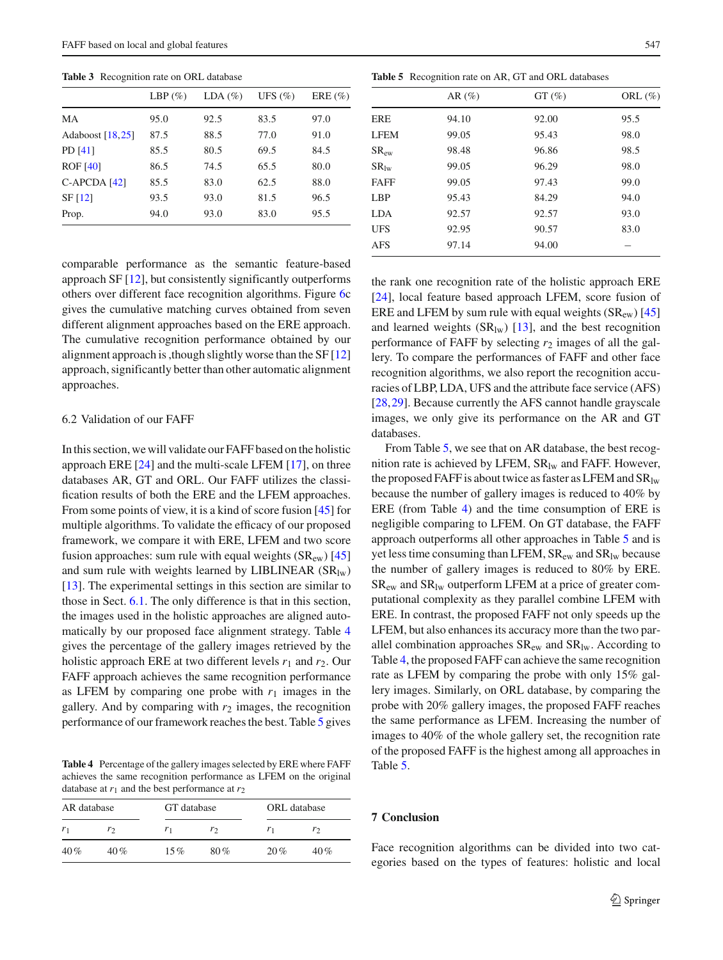**Table 3** Recognition rate on ORL database

<span id="page-10-1"></span>

|                  | LBP $(\%)$ | $LDA(\%)$ | UFS $(\% )$ | ERE $(\% )$ |
|------------------|------------|-----------|-------------|-------------|
| МA               | 95.0       | 92.5      | 83.5        | 97.0        |
| Adaboost [18,25] | 87.5       | 88.5      | 77.0        | 91.0        |
| PD [41]          | 85.5       | 80.5      | 69.5        | 84.5        |
| <b>ROF [40]</b>  | 86.5       | 74.5      | 65.5        | 80.0        |
| $C-APCDA$ [42]   | 85.5       | 83.0      | 62.5        | 88.0        |
| SF [12]          | 93.5       | 93.0      | 81.5        | 96.5        |
| Prop.            | 94.0       | 93.0      | 83.0        | 95.5        |

comparable performance as the semantic feature-based approach SF [\[12](#page-11-12)], but consistently significantly outperforms others over different face recognition algorithms. Figure [6c](#page-9-0) gives the cumulative matching curves obtained from seven different alignment approaches based on the ERE approach. The cumulative recognition performance obtained by our alignment approach is ,though slightly worse than the SF [\[12\]](#page-11-12) approach, significantly better than other automatic alignment approaches.

## 6.2 Validation of our FAFF

In this section, we will validate our FAFF based on the holistic approach ERE [\[24](#page-11-5)] and the multi-scale LFEM [\[17](#page-11-14)], on three databases AR, GT and ORL. Our FAFF utilizes the classification results of both the ERE and the LFEM approaches. From some points of view, it is a kind of score fusion [\[45](#page-12-23)] for multiple algorithms. To validate the efficacy of our proposed framework, we compare it with ERE, LFEM and two score fusion approaches: sum rule with equal weights  $(SR_{ew})$  [\[45\]](#page-12-23) and sum rule with weights learned by LIBLINEAR  $(SR_{lw})$ [\[13](#page-11-25)]. The experimental settings in this section are similar to those in Sect. [6.1.](#page-8-3) The only difference is that in this section, the images used in the holistic approaches are aligned automatically by our proposed face alignment strategy. Table [4](#page-10-2) gives the percentage of the gallery images retrieved by the holistic approach ERE at two different levels  $r_1$  and  $r_2$ . Our FAFF approach achieves the same recognition performance as LFEM by comparing one probe with  $r_1$  images in the gallery. And by comparing with  $r_2$  images, the recognition performance of our framework reaches the best. Table [5](#page-10-3) gives

<span id="page-10-2"></span>**Table 4** Percentage of the gallery images selected by ERE where FAFF achieves the same recognition performance as LFEM on the original database at  $r_1$  and the best performance at  $r_2$ 

| AR database |     | GT database |     | ORL database |     |
|-------------|-----|-------------|-----|--------------|-----|
| $r_1$       | r   | r1          | r   | r1           | r2  |
| 40%         | 40% | $15\%$      | 80% | 20%          | 40% |

**Table 5** Recognition rate on AR, GT and ORL databases

<span id="page-10-3"></span>

|             | AR $(\%)$ | $GT(\%)$ | ORL $(\%)$ |
|-------------|-----------|----------|------------|
| <b>ERE</b>  | 94.10     | 92.00    | 95.5       |
| <b>LFEM</b> | 99.05     | 95.43    | 98.0       |
| $SR_{ew}$   | 98.48     | 96.86    | 98.5       |
| $SR_{lw}$   | 99.05     | 96.29    | 98.0       |
| <b>FAFF</b> | 99.05     | 97.43    | 99.0       |
| LBP         | 95.43     | 84.29    | 94.0       |
| <b>LDA</b>  | 92.57     | 92.57    | 93.0       |
| <b>UFS</b>  | 92.95     | 90.57    | 83.0       |
| AFS         | 97.14     | 94.00    |            |
|             |           |          |            |

the rank one recognition rate of the holistic approach ERE [\[24](#page-11-5)], local feature based approach LFEM, score fusion of ERE and LFEM by sum rule with equal weights  $(SR_{ew})$  [\[45\]](#page-12-23) and learned weights  $(SR_{lw})$  [\[13\]](#page-11-25), and the best recognition performance of FAFF by selecting *r*<sup>2</sup> images of all the gallery. To compare the performances of FAFF and other face recognition algorithms, we also report the recognition accuracies of LBP, LDA, UFS and the attribute face service (AFS) [\[28](#page-12-24),[29\]](#page-12-25). Because currently the AFS cannot handle grayscale images, we only give its performance on the AR and GT databases.

From Table [5,](#page-10-3) we see that on AR database, the best recognition rate is achieved by LFEM,  $SR_{lw}$  and FAFF. However, the proposed FAFF is about twice as faster as LFEM and  $SR_{lw}$ because the number of gallery images is reduced to 40% by ERE (from Table [4\)](#page-10-2) and the time consumption of ERE is negligible comparing to LFEM. On GT database, the FAFF approach outperforms all other approaches in Table [5](#page-10-3) and is yet less time consuming than LFEM,  $SR_{ew}$  and  $SR_{lw}$  because the number of gallery images is reduced to 80% by ERE.  $SR<sub>ew</sub>$  and  $SR<sub>lw</sub>$  outperform LFEM at a price of greater computational complexity as they parallel combine LFEM with ERE. In contrast, the proposed FAFF not only speeds up the LFEM, but also enhances its accuracy more than the two parallel combination approaches  $SR_{ew}$  and  $SR_{lw}$ . According to Table [4,](#page-10-2) the proposed FAFF can achieve the same recognition rate as LFEM by comparing the probe with only 15% gallery images. Similarly, on ORL database, by comparing the probe with 20% gallery images, the proposed FAFF reaches the same performance as LFEM. Increasing the number of images to 40% of the whole gallery set, the recognition rate of the proposed FAFF is the highest among all approaches in Table [5.](#page-10-3)

## <span id="page-10-0"></span>**7 Conclusion**

Face recognition algorithms can be divided into two categories based on the types of features: holistic and local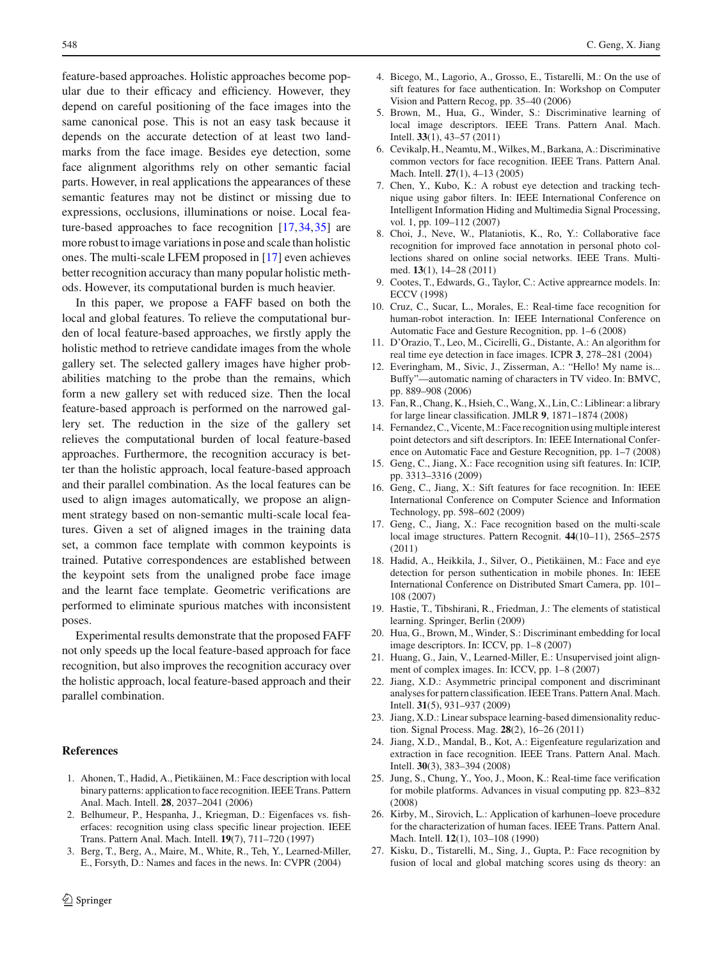feature-based approaches. Holistic approaches become popular due to their efficacy and efficiency. However, they depend on careful positioning of the face images into the same canonical pose. This is not an easy task because it depends on the accurate detection of at least two landmarks from the face image. Besides eye detection, some face alignment algorithms rely on other semantic facial parts. However, in real applications the appearances of these semantic features may not be distinct or missing due to expressions, occlusions, illuminations or noise. Local feature-based approaches to face recognition [\[17,](#page-11-14)[34](#page-12-13)[,35](#page-12-14)] are more robust to image variations in pose and scale than holistic ones. The multi-scale LFEM proposed in [\[17](#page-11-14)] even achieves better recognition accuracy than many popular holistic methods. However, its computational burden is much heavier.

In this paper, we propose a FAFF based on both the local and global features. To relieve the computational burden of local feature-based approaches, we firstly apply the holistic method to retrieve candidate images from the whole gallery set. The selected gallery images have higher probabilities matching to the probe than the remains, which form a new gallery set with reduced size. Then the local feature-based approach is performed on the narrowed gallery set. The reduction in the size of the gallery set relieves the computational burden of local feature-based approaches. Furthermore, the recognition accuracy is better than the holistic approach, local feature-based approach and their parallel combination. As the local features can be used to align images automatically, we propose an alignment strategy based on non-semantic multi-scale local features. Given a set of aligned images in the training data set, a common face template with common keypoints is trained. Putative correspondences are established between the keypoint sets from the unaligned probe face image and the learnt face template. Geometric verifications are performed to eliminate spurious matches with inconsistent poses.

Experimental results demonstrate that the proposed FAFF not only speeds up the local feature-based approach for face recognition, but also improves the recognition accuracy over the holistic approach, local feature-based approach and their parallel combination.

#### **References**

- <span id="page-11-20"></span>1. Ahonen, T., Hadid, A., Pietikäinen, M.: Face description with local binary patterns: application to face recognition. IEEE Trans. Pattern Anal. Mach. Intell. **28**, 2037–2041 (2006)
- <span id="page-11-1"></span>2. Belhumeur, P., Hespanha, J., Kriegman, D.: Eigenfaces vs. fisherfaces: recognition using class specific linear projection. IEEE Trans. Pattern Anal. Mach. Intell. **19**(7), 711–720 (1997)
- <span id="page-11-10"></span>3. Berg, T., Berg, A., Maire, M., White, R., Teh, Y., Learned-Miller, E., Forsyth, D.: Names and faces in the news. In: CVPR (2004)
- <span id="page-11-15"></span>4. Bicego, M., Lagorio, A., Grosso, E., Tistarelli, M.: On the use of sift features for face authentication. In: Workshop on Computer Vision and Pattern Recog, pp. 35–40 (2006)
- <span id="page-11-22"></span>5. Brown, M., Hua, G., Winder, S.: Discriminative learning of local image descriptors. IEEE Trans. Pattern Anal. Mach. Intell. **33**(1), 43–57 (2011)
- <span id="page-11-3"></span>6. Cevikalp, H., Neamtu, M., Wilkes, M., Barkana, A.: Discriminative common vectors for face recognition. IEEE Trans. Pattern Anal. Mach. Intell. **27**(1), 4–13 (2005)
- <span id="page-11-6"></span>7. Chen, Y., Kubo, K.: A robust eye detection and tracking technique using gabor filters. In: IEEE International Conference on Intelligent Information Hiding and Multimedia Signal Processing, vol. 1, pp. 109–112 (2007)
- <span id="page-11-21"></span>8. Choi, J., Neve, W., Plataniotis, K., Ro, Y.: Collaborative face recognition for improved face annotation in personal photo collections shared on online social networks. IEEE Trans. Multimed. **13**(1), 14–28 (2011)
- 9. Cootes, T., Edwards, G., Taylor, C.: Active apprearnce models. In: ECCV (1998)
- <span id="page-11-16"></span><span id="page-11-11"></span>10. Cruz, C., Sucar, L., Morales, E.: Real-time face recognition for human-robot interaction. In: IEEE International Conference on Automatic Face and Gesture Recognition, pp. 1–6 (2008)
- <span id="page-11-7"></span>11. D'Orazio, T., Leo, M., Cicirelli, G., Distante, A.: An algorithm for real time eye detection in face images. ICPR **3**, 278–281 (2004)
- <span id="page-11-12"></span>12. Everingham, M., Sivic, J., Zisserman, A.: "Hello! My name is... Buffy"—automatic naming of characters in TV video. In: BMVC, pp. 889–908 (2006)
- <span id="page-11-25"></span>13. Fan, R., Chang, K., Hsieh, C.,Wang, X., Lin, C.: Liblinear: a library for large linear classification. JMLR **9**, 1871–1874 (2008)
- <span id="page-11-17"></span>14. Fernandez, C., Vicente,M.: Face recognition using multiple interest point detectors and sift descriptors. In: IEEE International Conference on Automatic Face and Gesture Recognition, pp. 1–7 (2008)
- 15. Geng, C., Jiang, X.: Face recognition using sift features. In: ICIP, pp. 3313–3316 (2009)
- <span id="page-11-18"></span>16. Geng, C., Jiang, X.: Sift features for face recognition. In: IEEE International Conference on Computer Science and Information Technology, pp. 598–602 (2009)
- <span id="page-11-14"></span>17. Geng, C., Jiang, X.: Face recognition based on the multi-scale local image structures. Pattern Recognit. **44**(10–11), 2565–2575 (2011)
- <span id="page-11-8"></span>18. Hadid, A., Heikkila, J., Silver, O., Pietikäinen, M.: Face and eye detection for person suthentication in mobile phones. In: IEEE International Conference on Distributed Smart Camera, pp. 101– 108 (2007)
- <span id="page-11-24"></span>19. Hastie, T., Tibshirani, R., Friedman, J.: The elements of statistical learning. Springer, Berlin (2009)
- <span id="page-11-23"></span>20. Hua, G., Brown, M., Winder, S.: Discriminant embedding for local image descriptors. In: ICCV, pp. 1–8 (2007)
- <span id="page-11-13"></span>21. Huang, G., Jain, V., Learned-Miller, E.: Unsupervised joint alignment of complex images. In: ICCV, pp. 1–8 (2007)
- <span id="page-11-4"></span>22. Jiang, X.D.: Asymmetric principal component and discriminant analyses for pattern classification. IEEE Trans. Pattern Anal. Mach. Intell. **31**(5), 931–937 (2009)
- <span id="page-11-2"></span>23. Jiang, X.D.: Linear subspace learning-based dimensionality reduction. Signal Process. Mag. **28**(2), 16–26 (2011)
- <span id="page-11-5"></span>24. Jiang, X.D., Mandal, B., Kot, A.: Eigenfeature regularization and extraction in face recognition. IEEE Trans. Pattern Anal. Mach. Intell. **30**(3), 383–394 (2008)
- <span id="page-11-9"></span>25. Jung, S., Chung, Y., Yoo, J., Moon, K.: Real-time face verification for mobile platforms. Advances in visual computing pp. 823–832 (2008)
- <span id="page-11-0"></span>26. Kirby, M., Sirovich, L.: Application of karhunen–loeve procedure for the characterization of human faces. IEEE Trans. Pattern Anal. Mach. Intell. **12**(1), 103–108 (1990)
- <span id="page-11-19"></span>27. Kisku, D., Tistarelli, M., Sing, J., Gupta, P.: Face recognition by fusion of local and global matching scores using ds theory: an